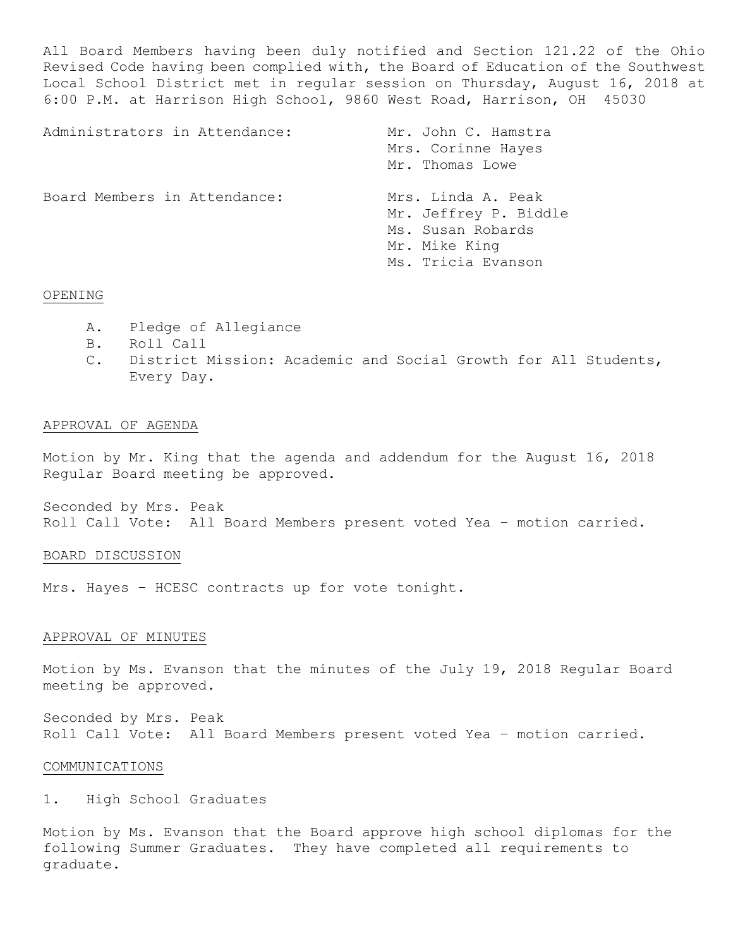All Board Members having been duly notified and Section 121.22 of the Ohio Revised Code having been complied with, the Board of Education of the Southwest Local School District met in regular session on Thursday, August 16, 2018 at 6:00 P.M. at Harrison High School, 9860 West Road, Harrison, OH 45030

| Administrators in Attendance: | Mr. John C. Hamstra<br>Mrs. Corinne Hayes<br>Mr. Thomas Lowe                                            |
|-------------------------------|---------------------------------------------------------------------------------------------------------|
| Board Members in Attendance:  | Mrs. Linda A. Peak<br>Mr. Jeffrey P. Biddle<br>Ms. Susan Robards<br>Mr. Mike King<br>Ms. Tricia Evanson |

## OPENING

- A. Pledge of Allegiance
- B. Roll Call
- C. District Mission: Academic and Social Growth for All Students, Every Day.

### APPROVAL OF AGENDA

Motion by Mr. King that the agenda and addendum for the August 16, 2018 Regular Board meeting be approved.

Seconded by Mrs. Peak Roll Call Vote: All Board Members present voted Yea – motion carried.

### BOARD DISCUSSION

Mrs. Hayes - HCESC contracts up for vote tonight.

### APPROVAL OF MINUTES

Motion by Ms. Evanson that the minutes of the July 19, 2018 Regular Board meeting be approved.

Seconded by Mrs. Peak Roll Call Vote: All Board Members present voted Yea – motion carried.

### COMMUNICATIONS

1. High School Graduates

Motion by Ms. Evanson that the Board approve high school diplomas for the following Summer Graduates. They have completed all requirements to graduate.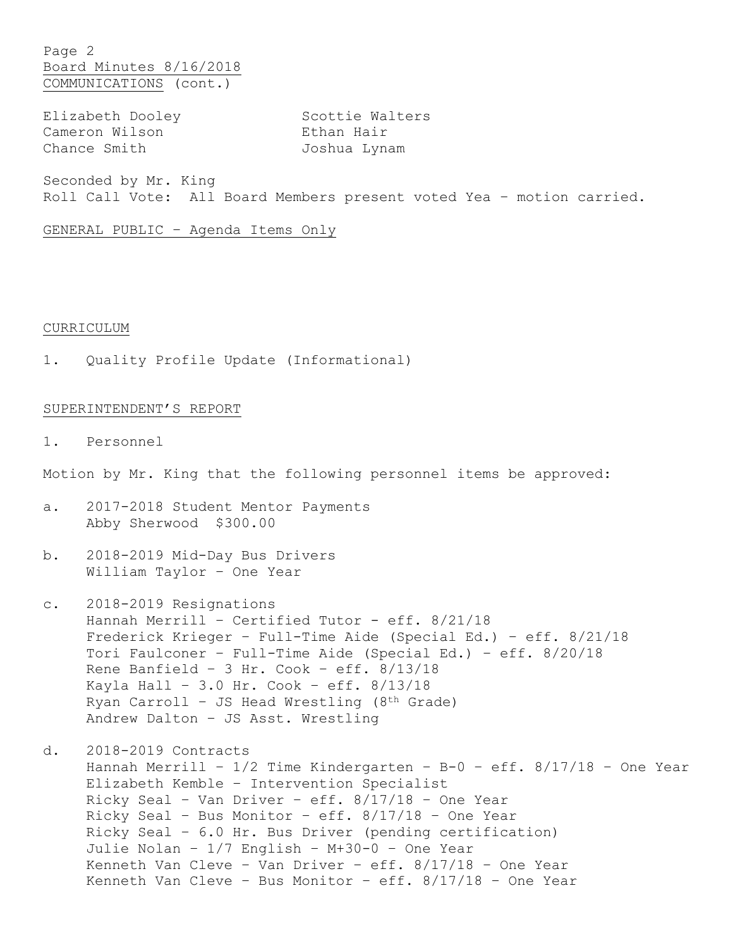Page 2 Board Minutes 8/16/2018 COMMUNICATIONS (cont.)

Cameron Wilson **Ethan Hair** Chance Smith Joshua Lynam

Elizabeth Dooley Scottie Walters

Seconded by Mr. King Roll Call Vote: All Board Members present voted Yea – motion carried.

GENERAL PUBLIC – Agenda Items Only

### CURRICULUM

1. Quality Profile Update (Informational)

## SUPERINTENDENT'S REPORT

1. Personnel

Motion by Mr. King that the following personnel items be approved:

- a. 2017-2018 Student Mentor Payments Abby Sherwood \$300.00
- b. 2018-2019 Mid-Day Bus Drivers William Taylor – One Year
- c. 2018-2019 Resignations Hannah Merrill – Certified Tutor - eff. 8/21/18 Frederick Krieger – Full-Time Aide (Special Ed.) – eff. 8/21/18 Tori Faulconer – Full-Time Aide (Special Ed.) – eff. 8/20/18 Rene Banfield – 3 Hr. Cook – eff. 8/13/18 Kayla Hall – 3.0 Hr. Cook – eff. 8/13/18 Ryan Carroll – JS Head Wrestling (8th Grade) Andrew Dalton – JS Asst. Wrestling
- d. 2018-2019 Contracts Hannah Merrill -  $1/2$  Time Kindergarten - B-0 - eff.  $8/17/18$  - One Year Elizabeth Kemble – Intervention Specialist Ricky Seal – Van Driver – eff. 8/17/18 – One Year Ricky Seal – Bus Monitor – eff. 8/17/18 – One Year Ricky Seal – 6.0 Hr. Bus Driver (pending certification) Julie Nolan – 1/7 English – M+30-0 – One Year Kenneth Van Cleve – Van Driver – eff. 8/17/18 – One Year Kenneth Van Cleve - Bus Monitor - eff.  $8/17/18$  - One Year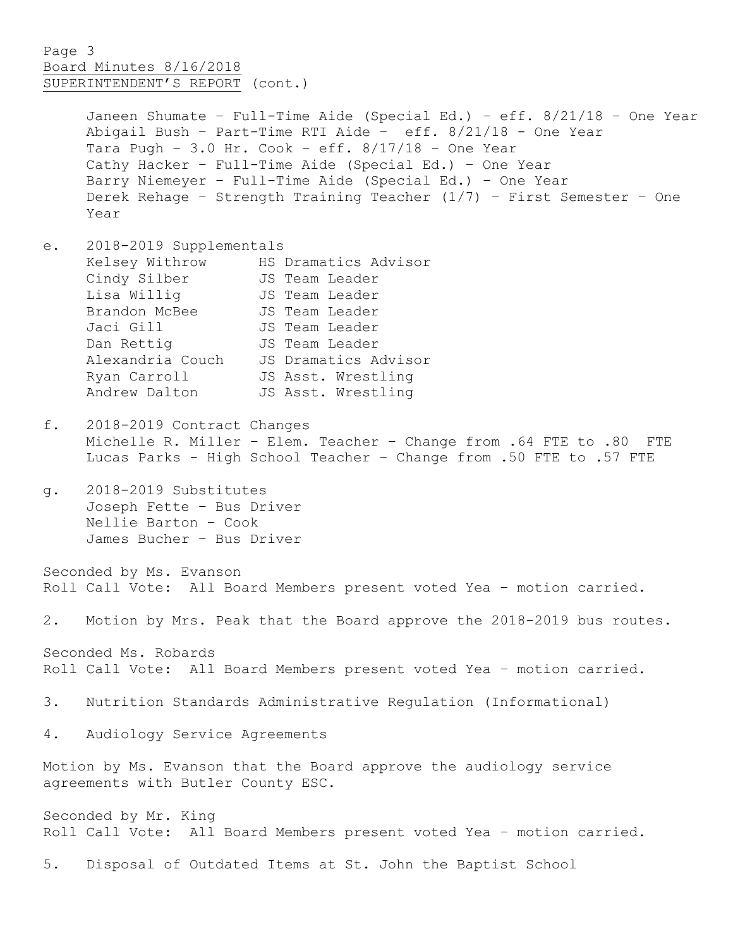## Page 3 Board Minutes 8/16/2018 SUPERINTENDENT'S REPORT (cont.)

Janeen Shumate – Full-Time Aide (Special Ed.) – eff. 8/21/18 – One Year Abigail Bush – Part-Time RTI Aide – eff. 8/21/18 - One Year Tara Pugh -  $3.0$  Hr. Cook - eff.  $8/17/18$  - One Year Cathy Hacker – Full-Time Aide (Special Ed.) – One Year Barry Niemeyer – Full-Time Aide (Special Ed.) – One Year Derek Rehage – Strength Training Teacher (1/7) – First Semester – One Year

- e. 2018-2019 Supplementals Kelsey Withrow HS Dramatics Advisor Cindy Silber JS Team Leader Lisa Willig JS Team Leader Brandon McBee JS Team Leader Jaci Gill **JS** Team Leader Dan Rettig **JS** Team Leader Alexandria Couch JS Dramatics Advisor Ryan Carroll JS Asst. Wrestling Andrew Dalton JS Asst. Wrestling
- f. 2018-2019 Contract Changes Michelle R. Miller – Elem. Teacher – Change from .64 FTE to .80 FTE Lucas Parks - High School Teacher – Change from .50 FTE to .57 FTE
- g. 2018-2019 Substitutes Joseph Fette – Bus Driver Nellie Barton – Cook James Bucher – Bus Driver

Seconded by Ms. Evanson Roll Call Vote: All Board Members present voted Yea – motion carried.

2. Motion by Mrs. Peak that the Board approve the 2018-2019 bus routes.

Seconded Ms. Robards Roll Call Vote: All Board Members present voted Yea – motion carried.

- 3. Nutrition Standards Administrative Regulation (Informational)
- 4. Audiology Service Agreements

Motion by Ms. Evanson that the Board approve the audiology service agreements with Butler County ESC.

Seconded by Mr. King Roll Call Vote: All Board Members present voted Yea – motion carried.

5. Disposal of Outdated Items at St. John the Baptist School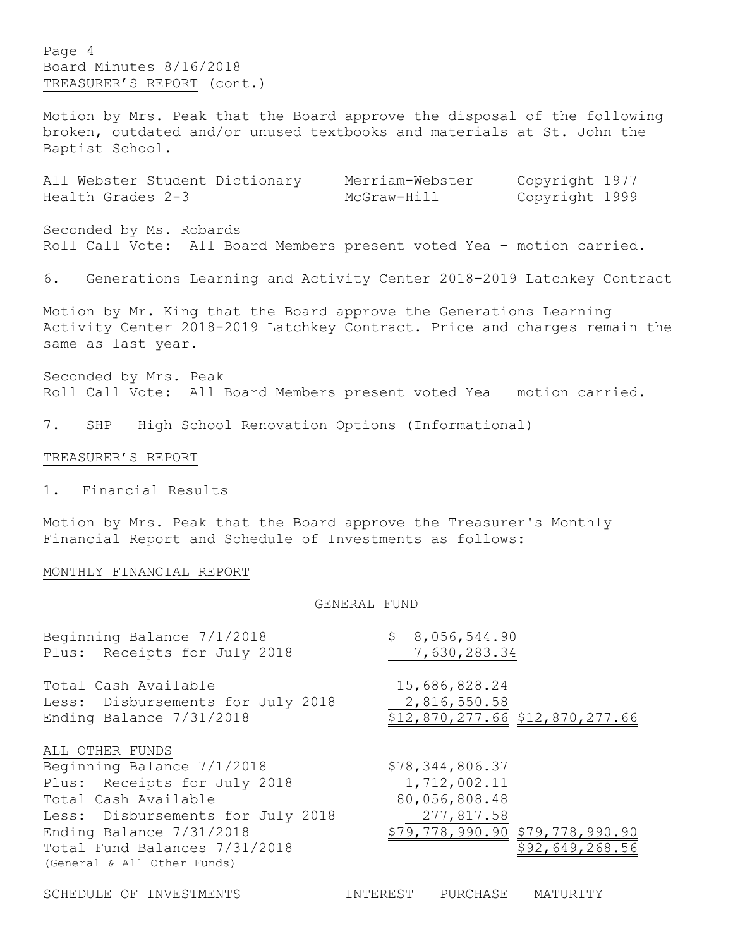Page 4 Board Minutes 8/16/2018 TREASURER'S REPORT (cont.)

Motion by Mrs. Peak that the Board approve the disposal of the following broken, outdated and/or unused textbooks and materials at St. John the Baptist School.

|                   | All Webster Student Dictionary | Merriam-Webster | Copyright 1977 |  |
|-------------------|--------------------------------|-----------------|----------------|--|
| Health Grades 2-3 |                                | McGraw-Hill     | Copyright 1999 |  |

Seconded by Ms. Robards Roll Call Vote: All Board Members present voted Yea – motion carried.

6. Generations Learning and Activity Center 2018-2019 Latchkey Contract

Motion by Mr. King that the Board approve the Generations Learning Activity Center 2018-2019 Latchkey Contract. Price and charges remain the same as last year.

Seconded by Mrs. Peak Roll Call Vote: All Board Members present voted Yea – motion carried.

7. SHP – High School Renovation Options (Informational)

#### TREASURER'S REPORT

1. Financial Results

Motion by Mrs. Peak that the Board approve the Treasurer's Monthly Financial Report and Schedule of Investments as follows:

### MONTHLY FINANCIAL REPORT

### GENERAL FUND

| Beginning Balance 7/1/2018                                                                                                                                                                                                             | \$8,056,544.90                                                                                                       |
|----------------------------------------------------------------------------------------------------------------------------------------------------------------------------------------------------------------------------------------|----------------------------------------------------------------------------------------------------------------------|
| Plus: Receipts for July 2018                                                                                                                                                                                                           | 7,630,283.34                                                                                                         |
| Total Cash Available                                                                                                                                                                                                                   | 15,686,828.24                                                                                                        |
| Less: Disbursements for July 2018                                                                                                                                                                                                      | 2,816,550.58                                                                                                         |
| Ending Balance 7/31/2018                                                                                                                                                                                                               | \$12,870,277.66 \$12,870,277.66                                                                                      |
| ALL OTHER FUNDS<br>Beginning Balance 7/1/2018<br>Plus: Receipts for July 2018<br>Total Cash Available<br>Less: Disbursements for July 2018<br>Ending Balance 7/31/2018<br>Total Fund Balances 7/31/2018<br>(General & All Other Funds) | \$78,344,806.37<br>1,712,002.11<br>80,056,808.48<br>277,817.58<br>\$79,778,990.90 \$79,778,990.90<br>\$92,649,268.56 |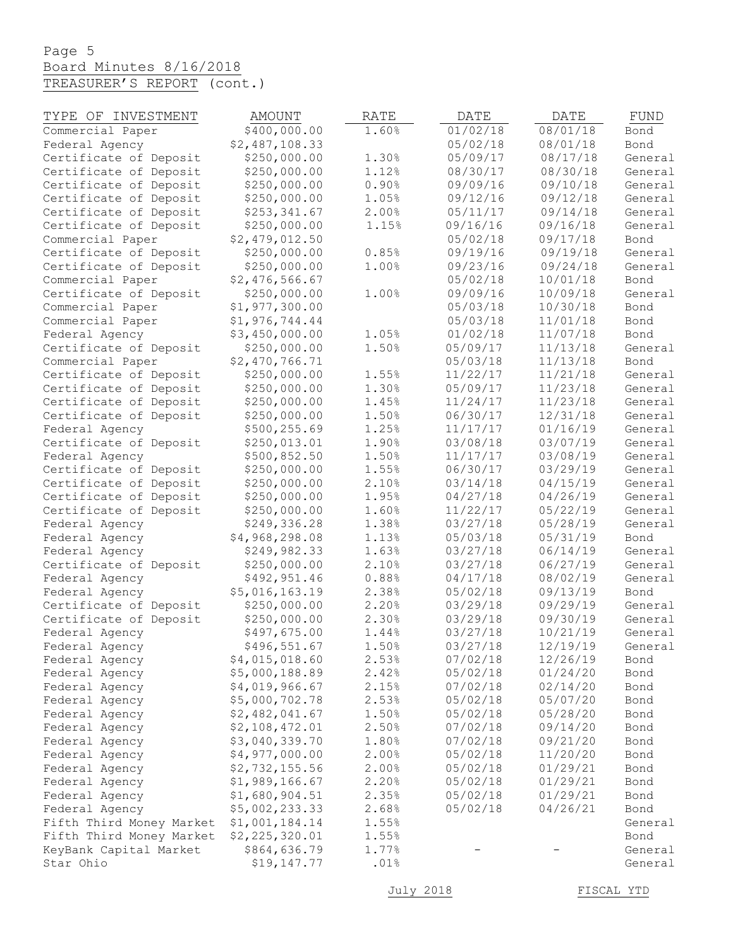# Page 5 Board Minutes 8/16/2018 TREASURER'S REPORT (cont.)

| TYPE OF INVESTMENT       | <b>AMOUNT</b>  | RATE  | DATE     | DATE     | FUND         |
|--------------------------|----------------|-------|----------|----------|--------------|
| Commercial Paper         | \$400,000.00   | 1.60% | 01/02/18 | 08/01/18 | Bond         |
| Federal Agency           | \$2,487,108.33 |       | 05/02/18 | 08/01/18 | Bond         |
| Certificate of Deposit   | \$250,000.00   | 1.30% | 05/09/17 | 08/17/18 | General      |
| Certificate of Deposit   | \$250,000.00   | 1.12% | 08/30/17 | 08/30/18 | General      |
| Certificate of Deposit   | \$250,000.00   | 0.90% | 09/09/16 | 09/10/18 | General      |
| Certificate of Deposit   | \$250,000.00   | 1.05% | 09/12/16 | 09/12/18 | General      |
| Certificate of Deposit   | \$253,341.67   | 2.00% | 05/11/17 | 09/14/18 | General      |
| Certificate of Deposit   | \$250,000.00   | 1.15% | 09/16/16 | 09/16/18 | General      |
| Commercial Paper         | \$2,479,012.50 |       | 05/02/18 | 09/17/18 | Bond         |
| Certificate of Deposit   | \$250,000.00   | 0.85% | 09/19/16 | 09/19/18 | General      |
| Certificate of Deposit   | \$250,000.00   | 1.00% | 09/23/16 | 09/24/18 | General      |
| Commercial Paper         | \$2,476,566.67 |       | 05/02/18 | 10/01/18 | Bond         |
| Certificate of Deposit   | \$250,000.00   | 1.00% | 09/09/16 | 10/09/18 | General      |
| Commercial Paper         | \$1,977,300.00 |       | 05/03/18 | 10/30/18 | Bond         |
|                          | \$1,976,744.44 |       | 05/03/18 | 11/01/18 |              |
| Commercial Paper         |                | 1.05% | 01/02/18 | 11/07/18 | Bond<br>Bond |
| Federal Agency           | \$3,450,000.00 |       |          |          |              |
| Certificate of Deposit   | \$250,000.00   | 1.50% | 05/09/17 | 11/13/18 | General      |
| Commercial Paper         | \$2,470,766.71 |       | 05/03/18 | 11/13/18 | Bond         |
| Certificate of Deposit   | \$250,000.00   | 1.55% | 11/22/17 | 11/21/18 | General      |
| Certificate of Deposit   | \$250,000.00   | 1.30% | 05/09/17 | 11/23/18 | General      |
| Certificate of Deposit   | \$250,000.00   | 1.45% | 11/24/17 | 11/23/18 | General      |
| Certificate of Deposit   | \$250,000.00   | 1.50% | 06/30/17 | 12/31/18 | General      |
| Federal Agency           | \$500,255.69   | 1.25% | 11/17/17 | 01/16/19 | General      |
| Certificate of Deposit   | \$250,013.01   | 1.90% | 03/08/18 | 03/07/19 | General      |
| Federal Agency           | \$500,852.50   | 1.50% | 11/17/17 | 03/08/19 | General      |
| Certificate of Deposit   | \$250,000.00   | 1.55% | 06/30/17 | 03/29/19 | General      |
| Certificate of Deposit   | \$250,000.00   | 2.10% | 03/14/18 | 04/15/19 | General      |
| Certificate of Deposit   | \$250,000.00   | 1.95% | 04/27/18 | 04/26/19 | General      |
| Certificate of Deposit   | \$250,000.00   | 1.60% | 11/22/17 | 05/22/19 | General      |
| Federal Agency           | \$249,336.28   | 1.38% | 03/27/18 | 05/28/19 | General      |
| Federal Agency           | \$4,968,298.08 | 1.13% | 05/03/18 | 05/31/19 | Bond         |
| Federal Agency           | \$249,982.33   | 1.63% | 03/27/18 | 06/14/19 | General      |
| Certificate of Deposit   | \$250,000.00   | 2.10% | 03/27/18 | 06/27/19 | General      |
| Federal Agency           | \$492,951.46   | 0.88% | 04/17/18 | 08/02/19 | General      |
| Federal Agency           | \$5,016,163.19 | 2.38% | 05/02/18 | 09/13/19 | Bond         |
| Certificate of Deposit   | \$250,000.00   | 2.20% | 03/29/18 | 09/29/19 | General      |
| Certificate of Deposit   | \$250,000.00   | 2.30% | 03/29/18 | 09/30/19 | General      |
| Federal Agency           | \$497,675.00   | 1.44% | 03/27/18 | 10/21/19 | General      |
| Federal Agency           | \$496,551.67   | 1.50% | 03/27/18 | 12/19/19 | General      |
| Federal Agency           | \$4,015,018.60 | 2.53% | 07/02/18 | 12/26/19 | Bond         |
| Federal Agency           | \$5,000,188.89 | 2.42% | 05/02/18 | 01/24/20 | Bond         |
| Federal Agency           | \$4,019,966.67 | 2.15% | 07/02/18 | 02/14/20 | Bond         |
| Federal Agency           | \$5,000,702.78 | 2.53% | 05/02/18 | 05/07/20 | Bond         |
| Federal Agency           | \$2,482,041.67 | 1.50% | 05/02/18 | 05/28/20 | Bond         |
| Federal Agency           | \$2,108,472.01 | 2.50% | 07/02/18 | 09/14/20 | Bond         |
| Federal Agency           | \$3,040,339.70 | 1.80% | 07/02/18 | 09/21/20 | Bond         |
| Federal Agency           | \$4,977,000.00 | 2.00% | 05/02/18 | 11/20/20 | Bond         |
| Federal Agency           | \$2,732,155.56 | 2.00% | 05/02/18 | 01/29/21 | Bond         |
| Federal Agency           | \$1,989,166.67 | 2.20% | 05/02/18 | 01/29/21 | Bond         |
| Federal Agency           | \$1,680,904.51 | 2.35% | 05/02/18 | 01/29/21 | Bond         |
| Federal Agency           | \$5,002,233.33 | 2.68% | 05/02/18 | 04/26/21 | Bond         |
| Fifth Third Money Market | \$1,001,184.14 | 1.55% |          |          | General      |
| Fifth Third Money Market | \$2,225,320.01 | 1.55% |          |          | Bond         |
| KeyBank Capital Market   | \$864,636.79   | 1.77% |          |          | General      |
| Star Ohio                | \$19,147.77    | .01%  |          |          | General      |
|                          |                |       |          |          |              |

July 2018 FISCAL YTD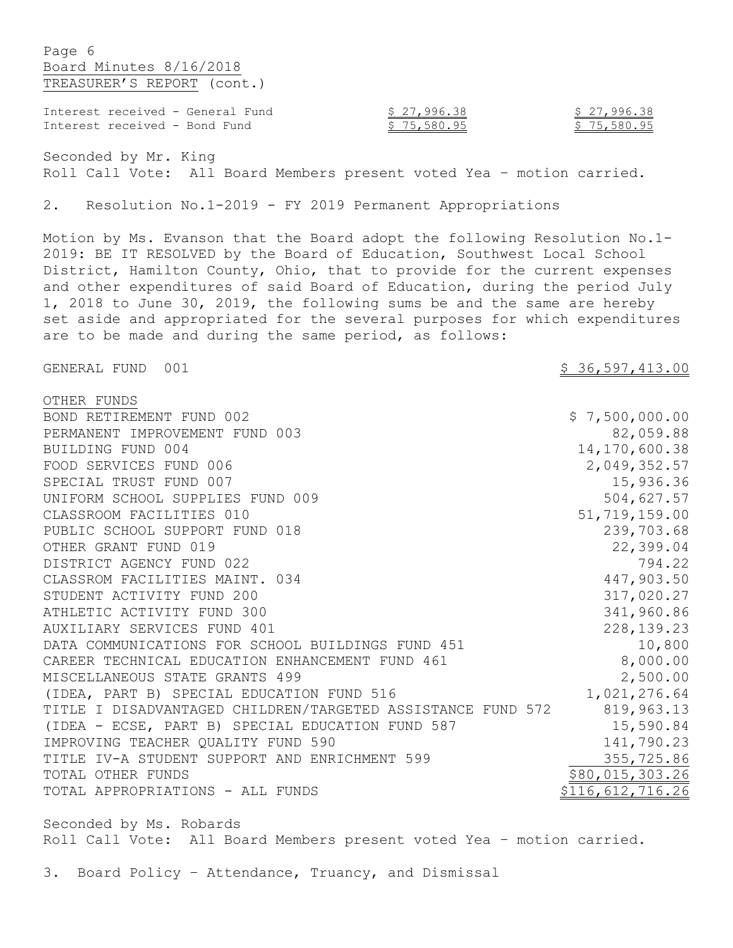Page 6 Board Minutes 8/16/2018 TREASURER'S REPORT (cont.)

| Interest received - General Fund | \$27,996.38 | \$27,996.38 |
|----------------------------------|-------------|-------------|
| Interest received - Bond Fund    | \$75,580.95 | \$75,580.95 |

Seconded by Mr. King Roll Call Vote: All Board Members present voted Yea – motion carried.

2. Resolution No.1-2019 - FY 2019 Permanent Appropriations

Motion by Ms. Evanson that the Board adopt the following Resolution No.1- 2019: BE IT RESOLVED by the Board of Education, Southwest Local School District, Hamilton County, Ohio, that to provide for the current expenses and other expenditures of said Board of Education, during the period July 1, 2018 to June 30, 2019, the following sums be and the same are hereby set aside and appropriated for the several purposes for which expenditures are to be made and during the same period, as follows:

GENERAL FUND 001 36,597,413.00

| OTHER FUNDS                                                 |                    |
|-------------------------------------------------------------|--------------------|
| BOND RETIREMENT FUND 002                                    | \$7,500,000.00     |
| PERMANENT IMPROVEMENT FUND 003                              | 82,059.88          |
| BUILDING FUND 004                                           | 14, 170, 600.38    |
| FOOD SERVICES FUND 006                                      | 2,049,352.57       |
| SPECIAL TRUST FUND 007                                      | 15,936.36          |
| UNIFORM SCHOOL SUPPLIES FUND 009                            | 504,627.57         |
| CLASSROOM FACILITIES 010                                    | 51,719,159.00      |
| PUBLIC SCHOOL SUPPORT FUND 018                              | 239,703.68         |
| OTHER GRANT FUND 019                                        | 22,399.04          |
| DISTRICT AGENCY FUND 022                                    | 794.22             |
| CLASSROM FACILITIES MAINT. 034                              | 447,903.50         |
| STUDENT ACTIVITY FUND 200                                   | 317,020.27         |
| ATHLETIC ACTIVITY FUND 300                                  | 341,960.86         |
| AUXILIARY SERVICES FUND 401                                 | 228, 139. 23       |
| DATA COMMUNICATIONS FOR SCHOOL BUILDINGS FUND 451           | 10,800             |
| CAREER TECHNICAL EDUCATION ENHANCEMENT FUND 461             | 8,000.00           |
| MISCELLANEOUS STATE GRANTS 499                              | 2,500.00           |
| (IDEA, PART B) SPECIAL EDUCATION FUND 516                   | 1,021,276.64       |
| TITLE I DISADVANTAGED CHILDREN/TARGETED ASSISTANCE FUND 572 | 819,963.13         |
| (IDEA - ECSE, PART B) SPECIAL EDUCATION FUND 587            | 15,590.84          |
| IMPROVING TEACHER QUALITY FUND 590                          | 141,790.23         |
| TITLE IV-A STUDENT SUPPORT AND ENRICHMENT 599               | 355,725.86         |
| TOTAL OTHER FUNDS                                           | \$80,015,303.26    |
| TOTAL APPROPRIATIONS - ALL FUNDS                            | \$116, 612, 716.26 |

Seconded by Ms. Robards Roll Call Vote: All Board Members present voted Yea – motion carried.

3. Board Policy – Attendance, Truancy, and Dismissal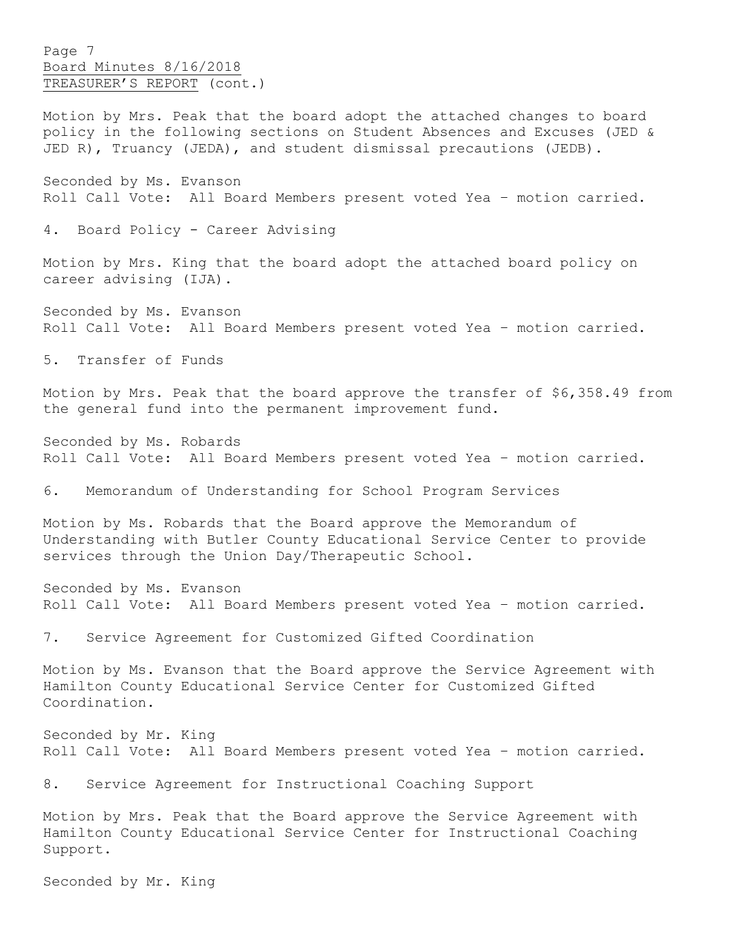Page 7 Board Minutes 8/16/2018 TREASURER'S REPORT (cont.)

Motion by Mrs. Peak that the board adopt the attached changes to board policy in the following sections on Student Absences and Excuses (JED & JED R), Truancy (JEDA), and student dismissal precautions (JEDB).

Seconded by Ms. Evanson Roll Call Vote: All Board Members present voted Yea – motion carried.

4. Board Policy - Career Advising

Motion by Mrs. King that the board adopt the attached board policy on career advising (IJA).

Seconded by Ms. Evanson Roll Call Vote: All Board Members present voted Yea – motion carried.

5. Transfer of Funds

Motion by Mrs. Peak that the board approve the transfer of \$6,358.49 from the general fund into the permanent improvement fund.

Seconded by Ms. Robards Roll Call Vote: All Board Members present voted Yea – motion carried.

6. Memorandum of Understanding for School Program Services

Motion by Ms. Robards that the Board approve the Memorandum of Understanding with Butler County Educational Service Center to provide services through the Union Day/Therapeutic School.

Seconded by Ms. Evanson Roll Call Vote: All Board Members present voted Yea – motion carried.

7. Service Agreement for Customized Gifted Coordination

Motion by Ms. Evanson that the Board approve the Service Agreement with Hamilton County Educational Service Center for Customized Gifted Coordination.

Seconded by Mr. King Roll Call Vote: All Board Members present voted Yea – motion carried.

8. Service Agreement for Instructional Coaching Support

Motion by Mrs. Peak that the Board approve the Service Agreement with Hamilton County Educational Service Center for Instructional Coaching Support.

Seconded by Mr. King